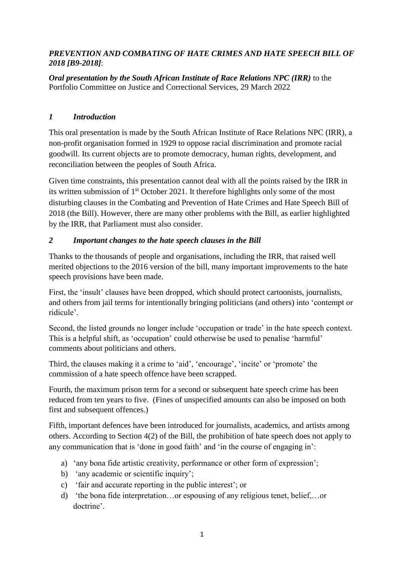### *PREVENTION AND COMBATING OF HATE CRIMES AND HATE SPEECH BILL OF 2018 [B9-2018]*:

*Oral presentation by the South African Institute of Race Relations NPC (IRR)* to the Portfolio Committee on Justice and Correctional Services, 29 March 2022

## *1 Introduction*

This oral presentation is made by the South African Institute of Race Relations NPC (IRR), a non-profit organisation formed in 1929 to oppose racial discrimination and promote racial goodwill. Its current objects are to promote democracy, human rights, development, and reconciliation between the peoples of South Africa.

Given time constraints, this presentation cannot deal with all the points raised by the IRR in its written submission of 1<sup>st</sup> October 2021. It therefore highlights only some of the most disturbing clauses in the Combating and Prevention of Hate Crimes and Hate Speech Bill of 2018 (the Bill). However, there are many other problems with the Bill, as earlier highlighted by the IRR, that Parliament must also consider.

# *2 Important changes to the hate speech clauses in the Bill*

Thanks to the thousands of people and organisations, including the IRR, that raised well merited objections to the 2016 version of the bill, many important improvements to the hate speech provisions have been made.

First, the 'insult' clauses have been dropped, which should protect cartoonists, journalists, and others from jail terms for intentionally bringing politicians (and others) into 'contempt or ridicule'.

Second, the listed grounds no longer include 'occupation or trade' in the hate speech context. This is a helpful shift, as 'occupation' could otherwise be used to penalise 'harmful' comments about politicians and others.

Third, the clauses making it a crime to 'aid', 'encourage', 'incite' or 'promote' the commission of a hate speech offence have been scrapped.

Fourth, the maximum prison term for a second or subsequent hate speech crime has been reduced from ten years to five. (Fines of unspecified amounts can also be imposed on both first and subsequent offences.)

Fifth, important defences have been introduced for journalists, academics, and artists among others. According to Section 4(2) of the Bill, the prohibition of hate speech does not apply to any communication that is 'done in good faith' and 'in the course of engaging in':

- a) 'any bona fide artistic creativity, performance or other form of expression';
- b) 'any academic or scientific inquiry';
- c) 'fair and accurate reporting in the public interest'; or
- d) 'the bona fide interpretation…or espousing of any religious tenet, belief,…or doctrine'.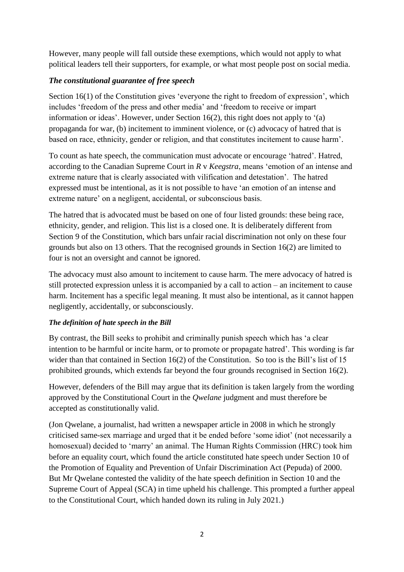However, many people will fall outside these exemptions, which would not apply to what political leaders tell their supporters, for example, or what most people post on social media.

### *The constitutional guarantee of free speech*

Section 16(1) of the Constitution gives 'everyone the right to freedom of expression', which includes 'freedom of the press and other media' and 'freedom to receive or impart information or ideas'. However, under Section 16(2), this right does not apply to '(a) propaganda for war, (b) incitement to imminent violence, or (c) advocacy of hatred that is based on race, ethnicity, gender or religion, and that constitutes incitement to cause harm'.

To count as hate speech, the communication must advocate or encourage 'hatred'. Hatred, according to the Canadian Supreme Court in *R* v *Keegstra*, means 'emotion of an intense and extreme nature that is clearly associated with vilification and detestation'. The hatred expressed must be intentional, as it is not possible to have 'an emotion of an intense and extreme nature' on a negligent, accidental, or subconscious basis.

The hatred that is advocated must be based on one of four listed grounds: these being race, ethnicity, gender, and religion. This list is a closed one. It is deliberately different from Section 9 of the Constitution, which bars unfair racial discrimination not only on these four grounds but also on 13 others. That the recognised grounds in Section 16(2) are limited to four is not an oversight and cannot be ignored.

The advocacy must also amount to incitement to cause harm. The mere advocacy of hatred is still protected expression unless it is accompanied by a call to action – an incitement to cause harm. Incitement has a specific legal meaning. It must also be intentional, as it cannot happen negligently, accidentally, or subconsciously.

### *The definition of hate speech in the Bill*

By contrast, the Bill seeks to prohibit and criminally punish speech which has 'a clear intention to be harmful or incite harm, or to promote or propagate hatred'. This wording is far wider than that contained in Section 16(2) of the Constitution. So too is the Bill's list of 15 prohibited grounds, which extends far beyond the four grounds recognised in Section 16(2).

However, defenders of the Bill may argue that its definition is taken largely from the wording approved by the Constitutional Court in the *Qwelane* judgment and must therefore be accepted as constitutionally valid.

(Jon Qwelane, a journalist, had written a newspaper article in 2008 in which he strongly criticised same-sex marriage and urged that it be ended before 'some idiot' (not necessarily a homosexual) decided to 'marry' an animal. The Human Rights Commission (HRC) took him before an equality court, which found the article constituted hate speech under Section 10 of the Promotion of Equality and Prevention of Unfair Discrimination Act (Pepuda) of 2000. But Mr Qwelane contested the validity of the hate speech definition in Section 10 and the Supreme Court of Appeal (SCA) in time upheld his challenge. This prompted a further appeal to the Constitutional Court, which handed down its ruling in July 2021.)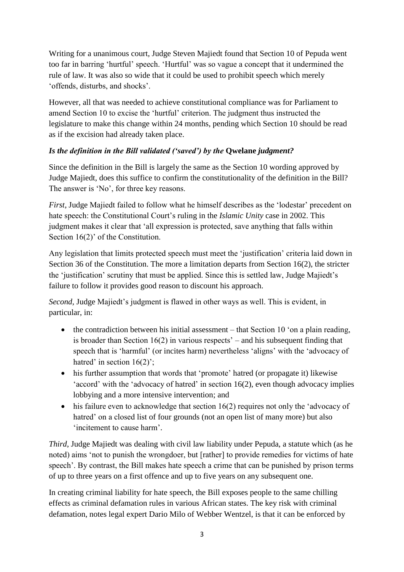Writing for a unanimous court, Judge Steven Majiedt found that Section 10 of Pepuda went too far in barring 'hurtful' speech. 'Hurtful' was so vague a concept that it undermined the rule of law. It was also so wide that it could be used to prohibit speech which merely 'offends, disturbs, and shocks'.

However, all that was needed to achieve constitutional compliance was for Parliament to amend Section 10 to excise the 'hurtful' criterion. The judgment thus instructed the legislature to make this change within 24 months, pending which Section 10 should be read as if the excision had already taken place.

# *Is the definition in the Bill validated ('saved') by the Owelane <i>judgment?*

Since the definition in the Bill is largely the same as the Section 10 wording approved by Judge Majiedt, does this suffice to confirm the constitutionality of the definition in the Bill? The answer is 'No', for three key reasons.

*First*, Judge Majiedt failed to follow what he himself describes as the 'lodestar' precedent on hate speech: the Constitutional Court's ruling in the *Islamic Unity* case in 2002. This judgment makes it clear that 'all expression is protected, save anything that falls within Section 16(2)' of the Constitution.

Any legislation that limits protected speech must meet the 'justification' criteria laid down in Section 36 of the Constitution. The more a limitation departs from Section 16(2), the stricter the 'justification' scrutiny that must be applied. Since this is settled law, Judge Majiedt's failure to follow it provides good reason to discount his approach.

*Second*, Judge Majiedt's judgment is flawed in other ways as well. This is evident, in particular, in:

- $\bullet$  the contradiction between his initial assessment that Section 10 'on a plain reading, is broader than Section 16(2) in various respects' – and his subsequent finding that speech that is 'harmful' (or incites harm) nevertheless 'aligns' with the 'advocacy of hatred' in section  $16(2)$ ;
- his further assumption that words that 'promote' hatred (or propagate it) likewise 'accord' with the 'advocacy of hatred' in section 16(2), even though advocacy implies lobbying and a more intensive intervention; and
- $\bullet$  his failure even to acknowledge that section 16(2) requires not only the 'advocacy of hatred' on a closed list of four grounds (not an open list of many more) but also 'incitement to cause harm'.

*Third*, Judge Majiedt was dealing with civil law liability under Pepuda, a statute which (as he noted) aims 'not to punish the wrongdoer, but [rather] to provide remedies for victims of hate speech'. By contrast, the Bill makes hate speech a crime that can be punished by prison terms of up to three years on a first offence and up to five years on any subsequent one.

In creating criminal liability for hate speech, the Bill exposes people to the same chilling effects as criminal defamation rules in various African states. The key risk with criminal defamation, notes legal expert Dario Milo of Webber Wentzel, is that it can be enforced by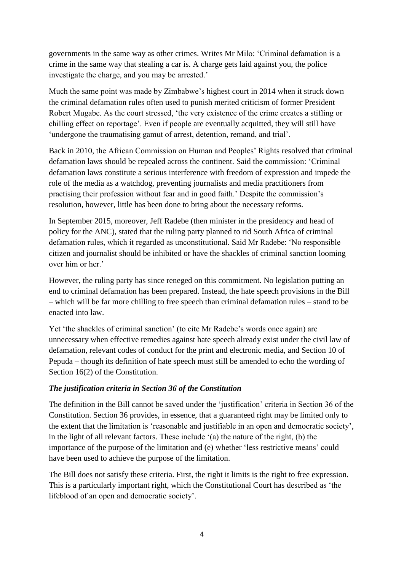governments in the same way as other crimes. Writes Mr Milo: 'Criminal defamation is a crime in the same way that stealing a car is. A charge gets laid against you, the police investigate the charge, and you may be arrested.'

Much the same point was made by Zimbabwe's highest court in 2014 when it struck down the criminal defamation rules often used to punish merited criticism of former President Robert Mugabe. As the court stressed, 'the very existence of the crime creates a stifling or chilling effect on reportage'. Even if people are eventually acquitted, they will still have 'undergone the traumatising gamut of arrest, detention, remand, and trial'.

Back in 2010, the African Commission on Human and Peoples' Rights resolved that criminal defamation laws should be repealed across the continent. Said the commission: 'Criminal defamation laws constitute a serious interference with freedom of expression and impede the role of the media as a watchdog, preventing journalists and media practitioners from practising their profession without fear and in good faith.' Despite the commission's resolution, however, little has been done to bring about the necessary reforms.

In September 2015, moreover, Jeff Radebe (then minister in the presidency and head of policy for the ANC), stated that the ruling party planned to rid South Africa of criminal defamation rules, which it regarded as unconstitutional. Said Mr Radebe: 'No responsible citizen and journalist should be inhibited or have the shackles of criminal sanction looming over him or her.'

However, the ruling party has since reneged on this commitment. No legislation putting an end to criminal defamation has been prepared. Instead, the hate speech provisions in the Bill – which will be far more chilling to free speech than criminal defamation rules – stand to be enacted into law.

Yet 'the shackles of criminal sanction' (to cite Mr Radebe's words once again) are unnecessary when effective remedies against hate speech already exist under the civil law of defamation, relevant codes of conduct for the print and electronic media, and Section 10 of Pepuda – though its definition of hate speech must still be amended to echo the wording of Section 16(2) of the Constitution.

### *The justification criteria in Section 36 of the Constitution*

The definition in the Bill cannot be saved under the 'justification' criteria in Section 36 of the Constitution. Section 36 provides, in essence, that a guaranteed right may be limited only to the extent that the limitation is 'reasonable and justifiable in an open and democratic society', in the light of all relevant factors. These include '(a) the nature of the right, (b) the importance of the purpose of the limitation and (e) whether 'less restrictive means' could have been used to achieve the purpose of the limitation.

The Bill does not satisfy these criteria. First, the right it limits is the right to free expression. This is a particularly important right, which the Constitutional Court has described as 'the lifeblood of an open and democratic society'.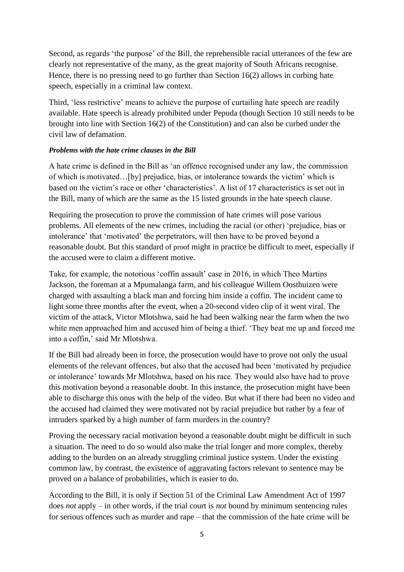Second, as regards 'the purpose' of the Bill, the reprehensible racial utterances of the few are clearly not representative of the many, as the great majority of South Africans recognise. Hence, there is no pressing need to go further than Section 16(2) allows in curbing hate speech, especially in a criminal law context.

Third, 'less restrictive' means to achieve the purpose of curtailing hate speech are readily available. Hate speech is already prohibited under Pepuda (though Section 10 still needs to be brought into line with Section 16(2) of the Constitution) and can also be curbed under the civil law of defamation.

### *Problems with the hate crime clauses in the Bill*

A hate crime is defined in the Bill as 'an offence recognised under any law, the commission of which is motivated…[by] prejudice, bias, or intolerance towards the victim' which is based on the victim's race or other 'characteristics'. A list of 17 characteristics is set out in the Bill, many of which are the same as the 15 listed grounds in the hate speech clause.

Requiring the prosecution to prove the commission of hate crimes will pose various problems. All elements of the new crimes, including the racial (or other) 'prejudice, bias or intolerance' that 'motivated' the perpetrators, will then have to be proved beyond a reasonable doubt. But this standard of proof might in practice be difficult to meet, especially if the accused were to claim a different motive.

Take, for example, the notorious 'coffin assault' case in 2016, in which Theo Martins Jackson, the foreman at a Mpumalanga farm, and his colleague Willem Oosthuizen were charged with assaulting a black man and forcing him inside a coffin. The incident came to light some three months after the event, when a 20-second video clip of it went viral. The victim of the attack, Victor Mlotshwa, said he had been walking near the farm when the two white men approached him and accused him of being a thief. 'They beat me up and forced me into a coffin,' said Mr Mlotshwa.

If the Bill had already been in force, the prosecution would have to prove not only the usual elements of the relevant offences, but also that the accused had been 'motivated by prejudice or intolerance' towards Mr Mlotshwa, based on his race. They would also have had to prove this motivation beyond a reasonable doubt. In this instance, the prosecution might have been able to discharge this onus with the help of the video. But what if there had been no video and the accused had claimed they were motivated not by racial prejudice but rather by a fear of intruders sparked by a high number of farm murders in the country?

Proving the necessary racial motivation beyond a reasonable doubt might be difficult in such a situation. The need to do so would also make the trial longer and more complex, thereby adding to the burden on an already struggling criminal justice system. Under the existing common law, by contrast, the existence of aggravating factors relevant to sentence may be proved on a balance of probabilities, which is easier to do.

According to the Bill, it is only if Section 51 of the Criminal Law Amendment Act of 1997 does *not* apply – in other words, if the trial court is *not* bound by minimum sentencing rules for serious offences such as murder and rape – that the commission of the hate crime will be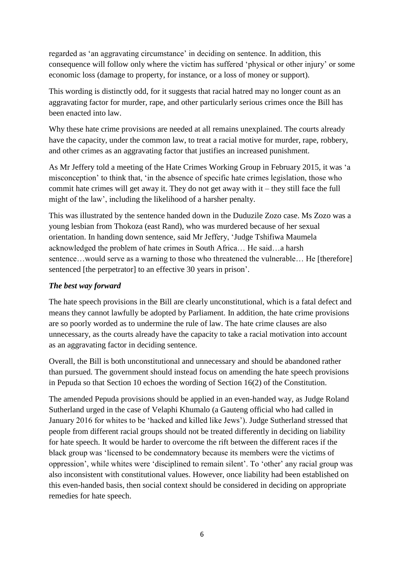regarded as 'an aggravating circumstance' in deciding on sentence. In addition, this consequence will follow only where the victim has suffered 'physical or other injury' or some economic loss (damage to property, for instance, or a loss of money or support).

This wording is distinctly odd, for it suggests that racial hatred may no longer count as an aggravating factor for murder, rape, and other particularly serious crimes once the Bill has been enacted into law.

Why these hate crime provisions are needed at all remains unexplained. The courts already have the capacity, under the common law, to treat a racial motive for murder, rape, robbery, and other crimes as an aggravating factor that justifies an increased punishment.

As Mr Jeffery told a meeting of the Hate Crimes Working Group in February 2015, it was 'a misconception' to think that, 'in the absence of specific hate crimes legislation, those who commit hate crimes will get away it. They do not get away with it – they still face the full might of the law', including the likelihood of a harsher penalty.

This was illustrated by the sentence handed down in the Duduzile Zozo case. Ms Zozo was a young lesbian from Thokoza (east Rand), who was murdered because of her sexual orientation. In handing down sentence, said Mr Jeffery, 'Judge Tshifiwa Maumela acknowledged the problem of hate crimes in South Africa… He said…a harsh sentence…would serve as a warning to those who threatened the vulnerable… He [therefore] sentenced [the perpetrator] to an effective 30 years in prison'.

### *The best way forward*

The hate speech provisions in the Bill are clearly unconstitutional, which is a fatal defect and means they cannot lawfully be adopted by Parliament. In addition, the hate crime provisions are so poorly worded as to undermine the rule of law. The hate crime clauses are also unnecessary, as the courts already have the capacity to take a racial motivation into account as an aggravating factor in deciding sentence.

Overall, the Bill is both unconstitutional and unnecessary and should be abandoned rather than pursued. The government should instead focus on amending the hate speech provisions in Pepuda so that Section 10 echoes the wording of Section 16(2) of the Constitution.

The amended Pepuda provisions should be applied in an even-handed way, as Judge Roland Sutherland urged in the case of Velaphi Khumalo (a Gauteng official who had called in January 2016 for whites to be 'hacked and killed like Jews'). Judge Sutherland stressed that people from different racial groups should not be treated differently in deciding on liability for hate speech. It would be harder to overcome the rift between the different races if the black group was 'licensed to be condemnatory because its members were the victims of oppression', while whites were 'disciplined to remain silent'. To 'other' any racial group was also inconsistent with constitutional values. However, once liability had been established on this even-handed basis, then social context should be considered in deciding on appropriate remedies for hate speech.